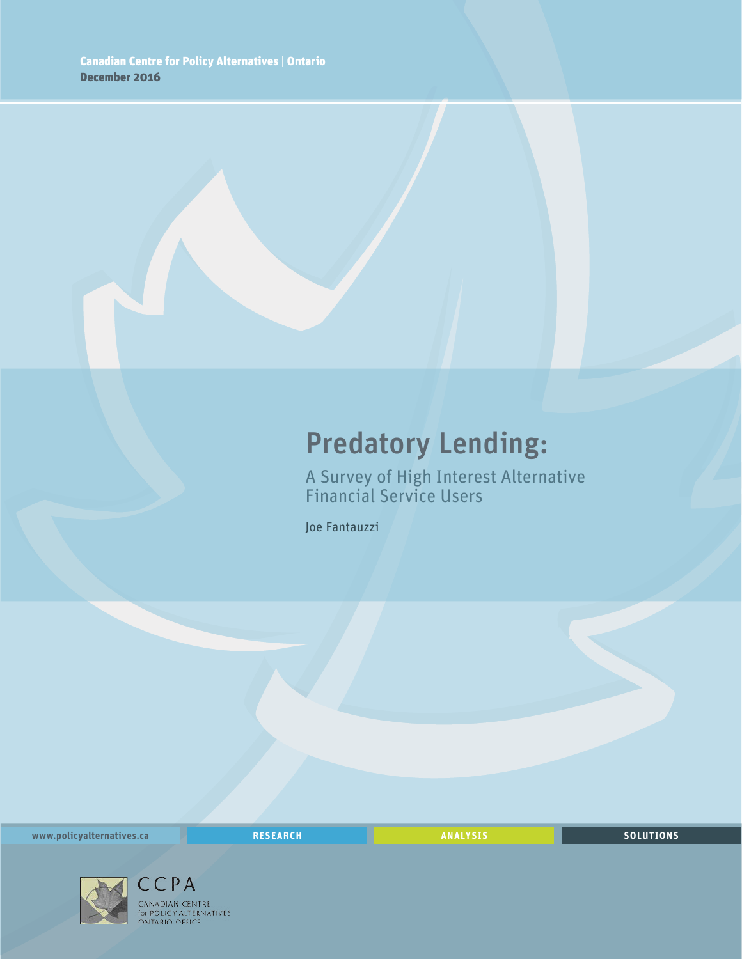## Predatory Lending:

A Survey of High Interest Alternative Financial Service Users

Joe Fantauzzi

**www.policyalternatives.ca** <mark>RESEARCH</mark> ANALYSIS SOLUTIONS



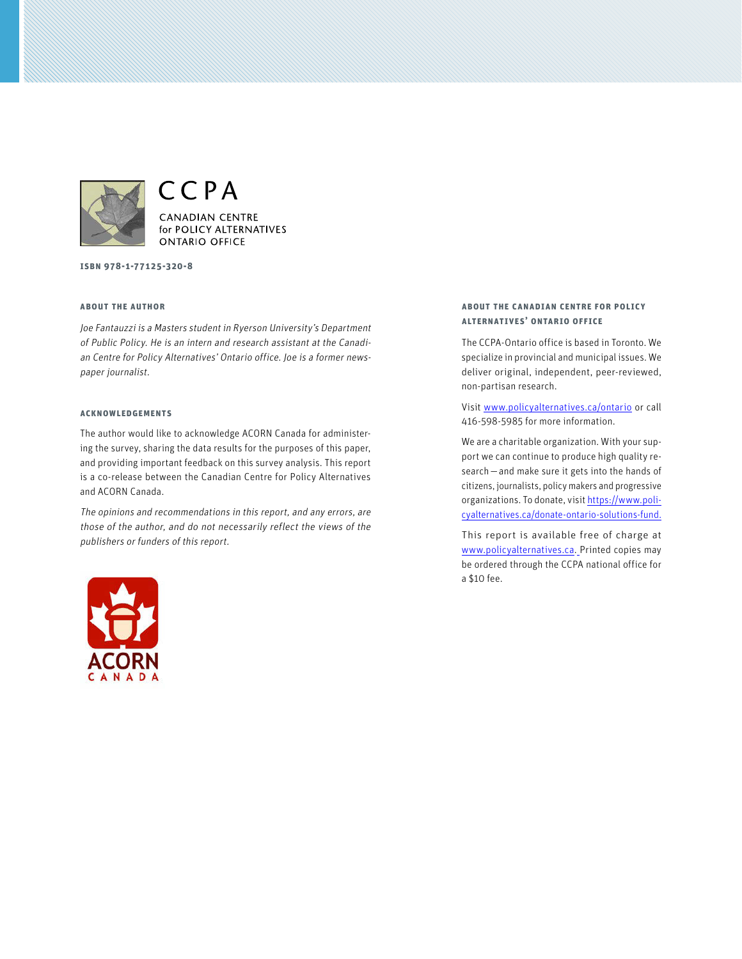

## CCPA

**CANADIAN CENTRE** for POLICY ALTERNATIVES **ONTARIO OFFICE** 

**ISBN 978-1-77125-320-8**

#### **ABOUT THE AUTHOR**

Joe Fantauzzi is a Masters student in Ryerson University's Department of Public Policy. He is an intern and research assistant at the Canadian Centre for Policy Alternatives' Ontario office. Joe is a former newspaper journalist.

#### **Acknowledgements**

The author would like to acknowledge ACORN Canada for administering the survey, sharing the data results for the purposes of this paper, and providing important feedback on this survey analysis. This report is a co-release between the Canadian Centre for Policy Alternatives and ACORN Canada.

The opinions and recommendations in this report, and any errors, are those of the author, and do not necessarily reflect the views of the publishers or funders of this report.



#### **About the CANADIAN CENTRE FOR POLICY ALTERNATIVES' ONTARIO OFFICE**

The CCPA-Ontario office is based in Toronto. We specialize in provincial and municipal issues. We deliver original, independent, peer-reviewed, non-partisan research.

Visit www.policyalternatives.ca/ontario or call 416-598-5985 for more information.

We are a charitable organization. With your support we can continue to produce high quality research—and make sure it gets into the hands of citizens, journalists, policy makers and progressive organizations. To donate, visit https://www.policyalternatives.ca/donate-ontario-solutions-fund.

This report is available free of charge at www.policyalternatives.ca. Printed copies may be ordered through the CCPA national office for a \$10 fee.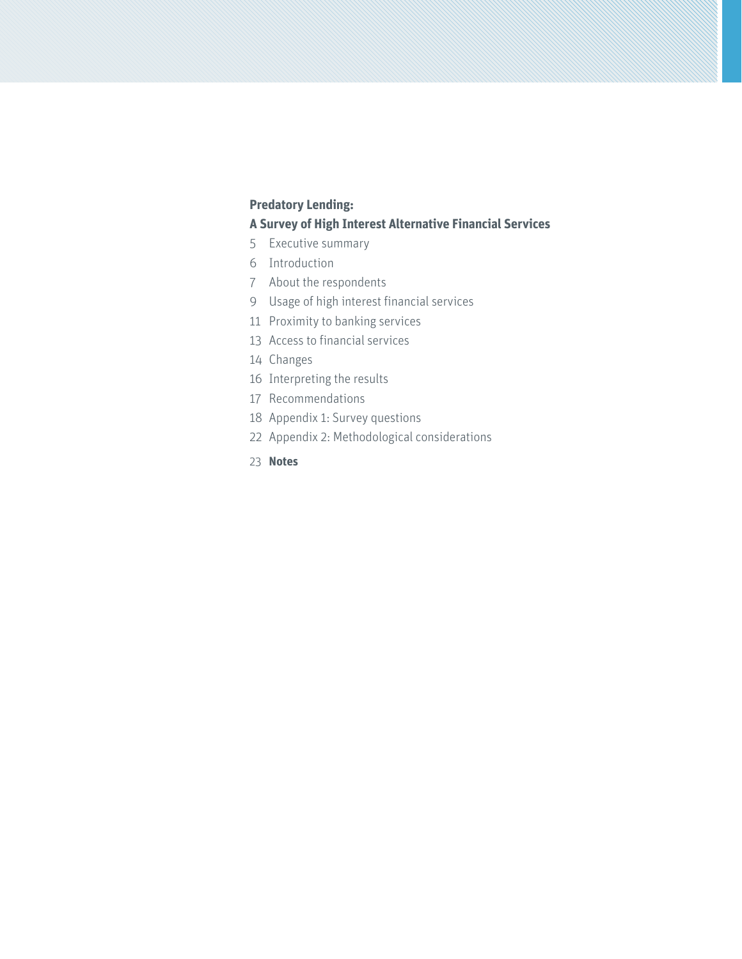#### **Predatory Lending:**

#### **A Survey of High Interest Alternative Financial Services**

- Executive summary
- Introduction
- About the respondents
- Usage of high interest financial services
- Proximity to banking services
- Access to financial services
- Changes
- Interpreting the results
- Recommendations
- Appendix 1: Survey questions
- Appendix 2: Methodological considerations
- **Notes**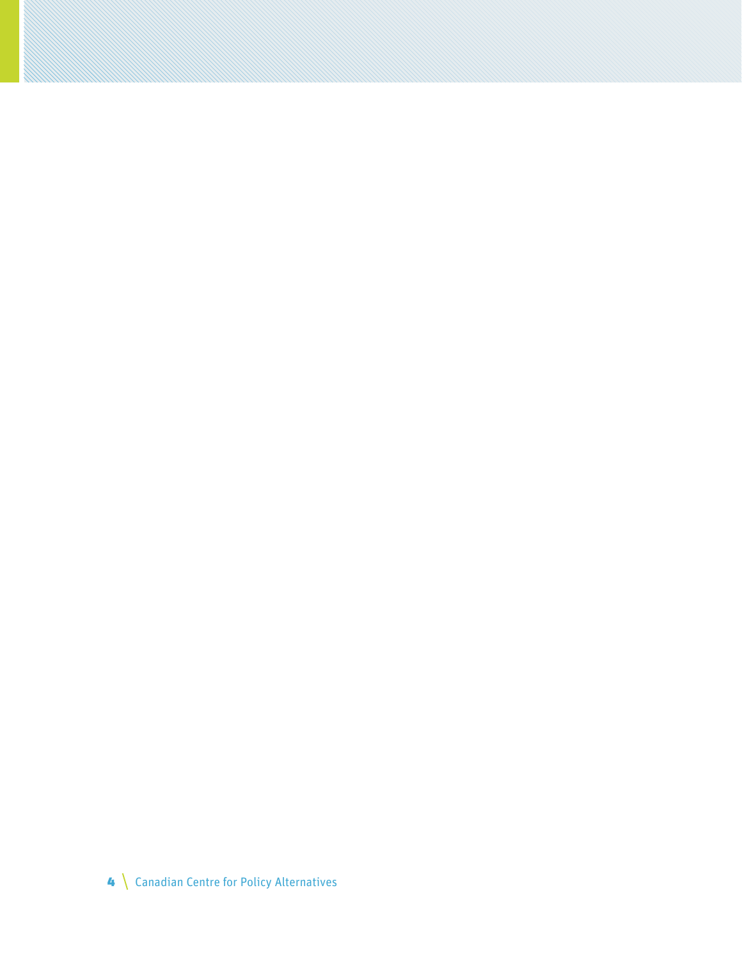4 | Canadian Centre for Policy Alternatives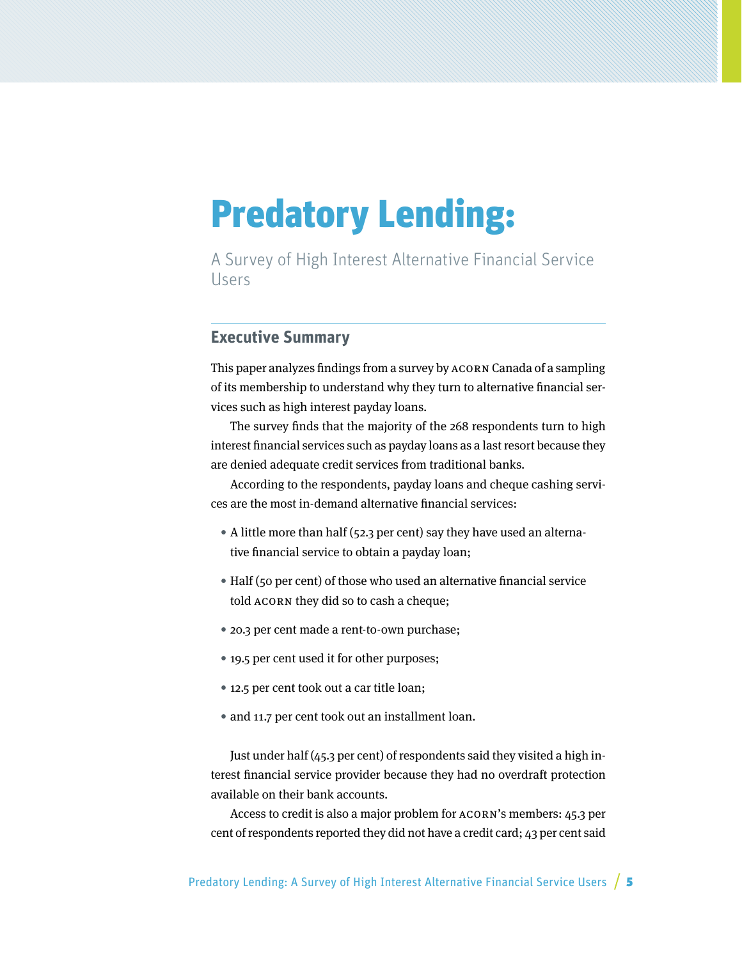## Predatory Lending:

A Survey of High Interest Alternative Financial Service Users

#### **Executive Summary**

This paper analyzes findings from a survey by ACORN Canada of a sampling of its membership to understand why they turn to alternative financial services such as high interest payday loans.

The survey finds that the majority of the 268 respondents turn to high interest financial services such as payday loans as a last resort because they are denied adequate credit services from traditional banks.

According to the respondents, payday loans and cheque cashing services are the most in-demand alternative financial services:

- A little more than half (52.3 per cent) say they have used an alternative financial service to obtain a payday loan;
- Half (50 per cent) of those who used an alternative financial service told ACORN they did so to cash a cheque;
- 20.3 per cent made a rent-to-own purchase;
- 19.5 per cent used it for other purposes;
- 12.5 per cent took out a car title loan;
- and 11.7 per cent took out an installment loan.

Just under half (45.3 per cent) of respondents said they visited a high interest financial service provider because they had no overdraft protection available on their bank accounts.

Access to credit is also a major problem for ACORN's members: 45.3 per cent of respondents reported they did not have a credit card; 43 per cent said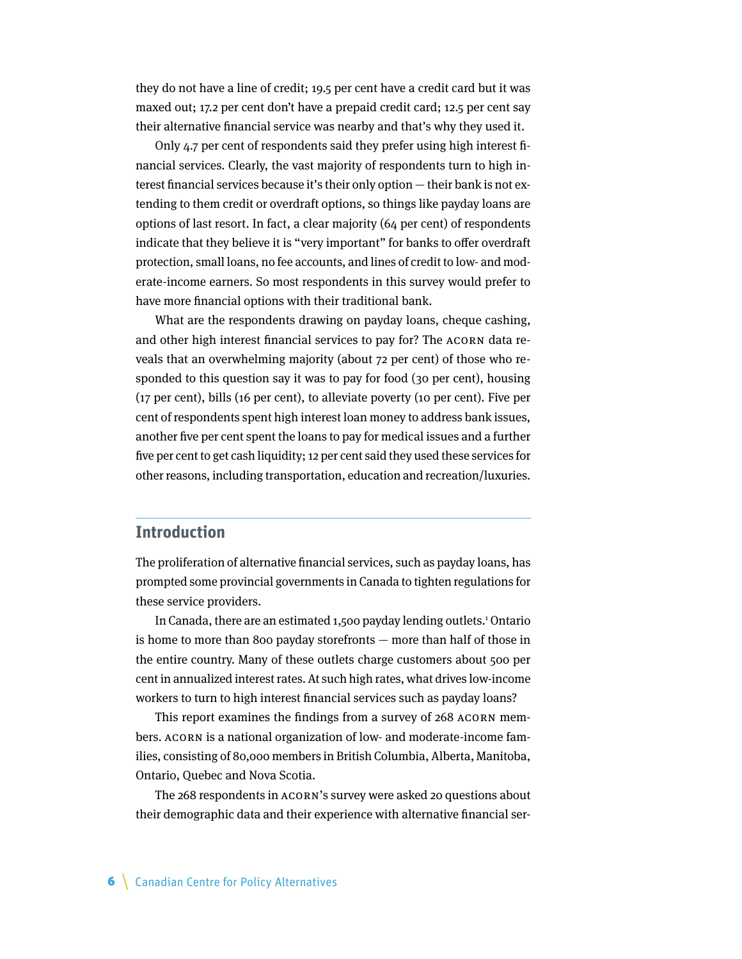they do not have a line of credit; 19.5 per cent have a credit card but it was maxed out; 17.2 per cent don't have a prepaid credit card; 12.5 per cent say their alternative financial service was nearby and that's why they used it.

Only 4.7 per cent of respondents said they prefer using high interest financial services. Clearly, the vast majority of respondents turn to high interest financial services because it's their only option — their bank is not extending to them credit or overdraft options, so things like payday loans are options of last resort. In fact, a clear majority (64 per cent) of respondents indicate that they believe it is "very important" for banks to offer overdraft protection, small loans, no fee accounts, and lines of credit to low- and moderate-income earners. So most respondents in this survey would prefer to have more financial options with their traditional bank.

What are the respondents drawing on payday loans, cheque cashing, and other high interest financial services to pay for? The ACORN data reveals that an overwhelming majority (about 72 per cent) of those who responded to this question say it was to pay for food (30 per cent), housing (17 per cent), bills (16 per cent), to alleviate poverty (10 per cent). Five per cent of respondents spent high interest loan money to address bank issues, another five per cent spent the loans to pay for medical issues and a further five per cent to get cash liquidity; 12 per cent said they used these services for other reasons, including transportation, education and recreation/luxuries.

#### **Introduction**

The proliferation of alternative financial services, such as payday loans, has prompted some provincial governments in Canada to tighten regulations for these service providers.

In Canada, there are an estimated 1,500 payday lending outlets.<sup>1</sup> Ontario is home to more than 800 payday storefronts — more than half of those in the entire country. Many of these outlets charge customers about 500 per cent in annualized interest rates. At such high rates, what drives low-income workers to turn to high interest financial services such as payday loans?

This report examines the findings from a survey of 268 ACORN members. ACORN is a national organization of low- and moderate-income families, consisting of 80,000 members in British Columbia, Alberta, Manitoba, Ontario, Quebec and Nova Scotia.

The 268 respondents in ACORN's survey were asked 20 questions about their demographic data and their experience with alternative financial ser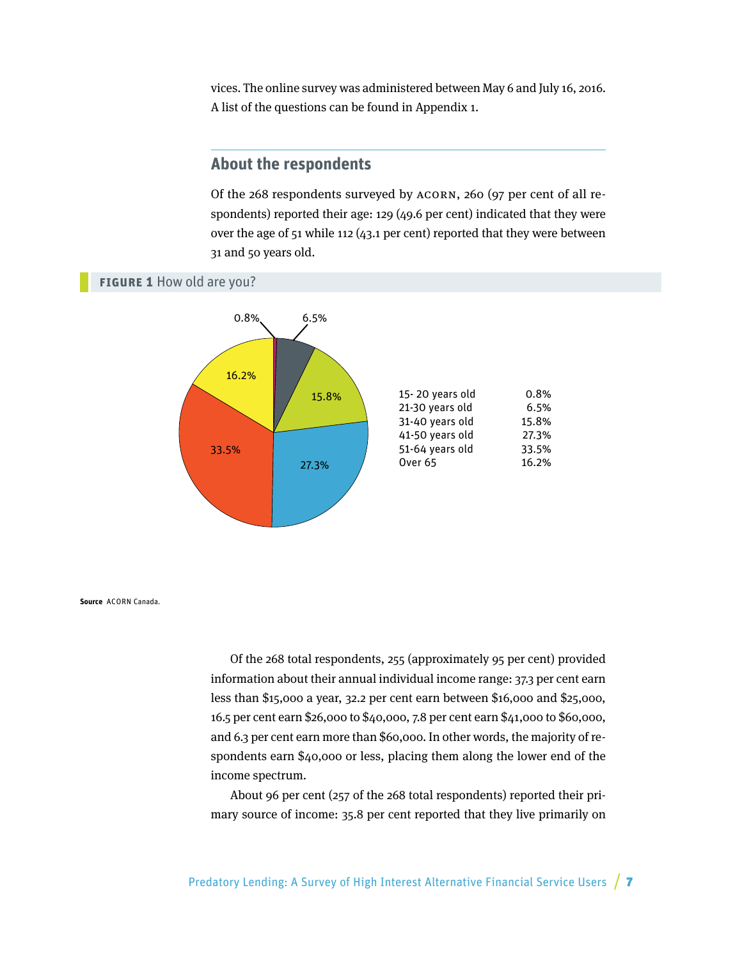vices. The online survey was administered between May 6 and July 16, 2016. A list of the questions can be found in Appendix 1.

### **About the respondents**

Of the 268 respondents surveyed by ACORN, 260 (97 per cent of all respondents) reported their age: 129 (49.6 per cent) indicated that they were over the age of 51 while 112 (43.1 per cent) reported that they were between 31 and 50 years old.

#### **Figure 1** How old are you?



**Source** ACORN Canada.

Of the 268 total respondents, 255 (approximately 95 per cent) provided information about their annual individual income range: 37.3 per cent earn less than \$15,000 a year, 32.2 per cent earn between \$16,000 and \$25,000, 16.5 per cent earn \$26,000 to \$40,000, 7.8 per cent earn \$41,000 to \$60,000, and 6.3 per cent earn more than \$60,000. In other words, the majority of respondents earn \$40,000 or less, placing them along the lower end of the income spectrum.

About 96 per cent (257 of the 268 total respondents) reported their primary source of income: 35.8 per cent reported that they live primarily on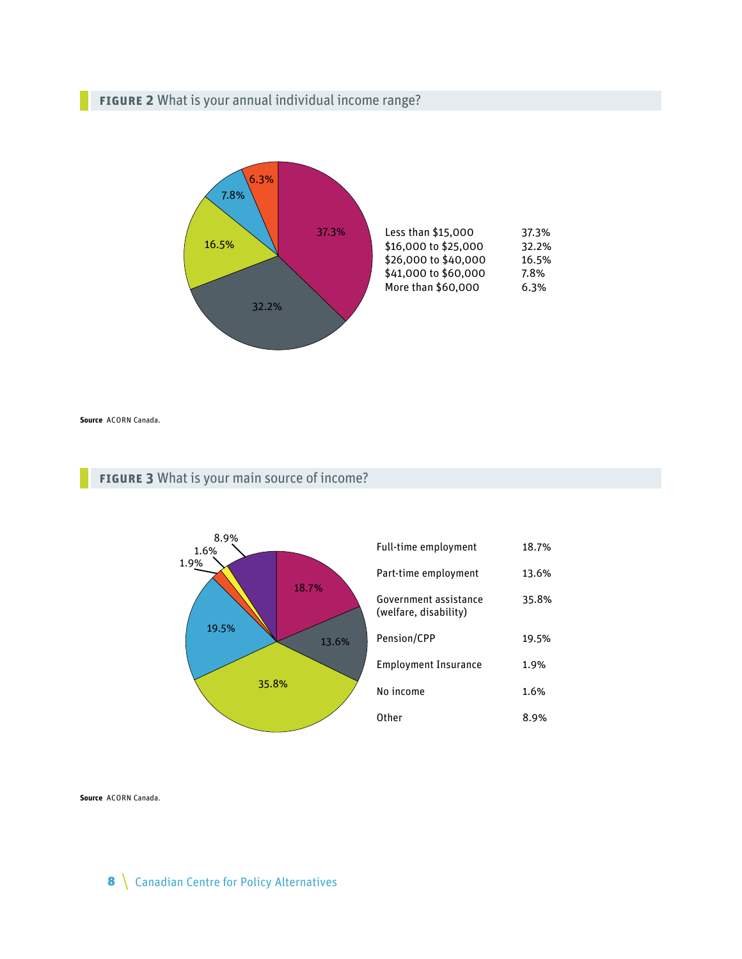#### **Figure 2** What is your annual individual income range?



**Source** ACORN Canada.

**Figure 3** What is your main source of income?



**Source** ACORN Canada.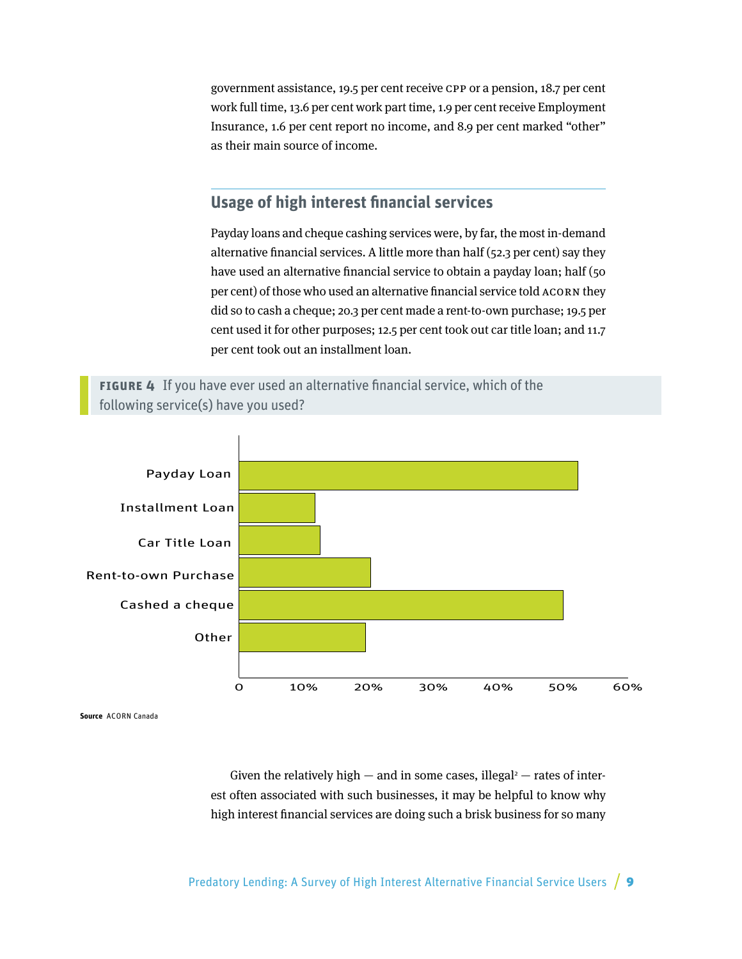government assistance, 19.5 per cent receive CPP or a pension, 18.7 per cent work full time, 13.6 per cent work part time, 1.9 per cent receive Employment Insurance, 1.6 per cent report no income, and 8.9 per cent marked "other" as their main source of income.

## **Usage of high interest financial services**

Payday loans and cheque cashing services were, by far, the most in-demand alternative financial services. A little more than half (52.3 per cent) say they have used an alternative financial service to obtain a payday loan; half (50 per cent) of those who used an alternative financial service told ACORN they did so to cash a cheque; 20.3 per cent made a rent-to-own purchase; 19.5 per cent used it for other purposes; 12.5 per cent took out car title loan; and 11.7 per cent took out an installment loan.





**Source** ACORN Canada

Given the relatively high  $-$  and in some cases, illegal<sup>2</sup>  $-$  rates of interest often associated with such businesses, it may be helpful to know why high interest financial services are doing such a brisk business for so many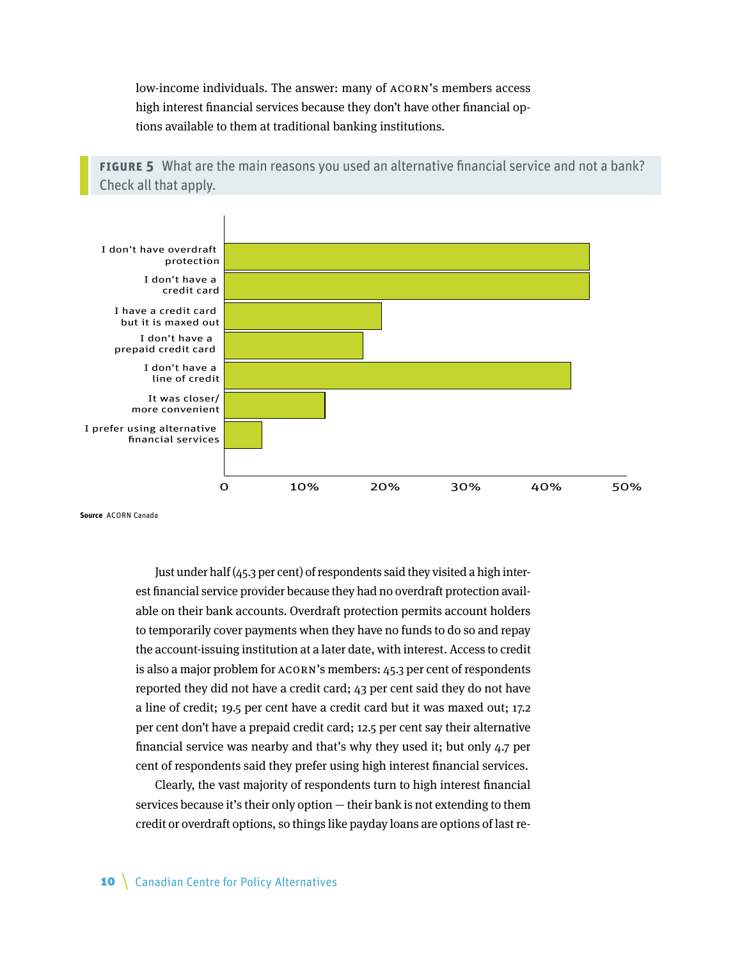low-income individuals. The answer: many of ACORN's members access high interest financial services because they don't have other financial options available to them at traditional banking institutions.



**FIGURE 5** What are the main reasons you used an alternative financial service and not a bank? Check all that apply.

**Source** ACORN Canada

Just under half (45.3 per cent) of respondents said they visited a high interest financial service provider because they had no overdraft protection available on their bank accounts. Overdraft protection permits account holders to temporarily cover payments when they have no funds to do so and repay the account-issuing institution at a later date, with interest. Access to credit is also a major problem for ACORN's members: 45.3 per cent of respondents reported they did not have a credit card; 43 per cent said they do not have a line of credit; 19.5 per cent have a credit card but it was maxed out; 17.2 per cent don't have a prepaid credit card; 12.5 per cent say their alternative financial service was nearby and that's why they used it; but only 4.7 per cent of respondents said they prefer using high interest financial services.

Clearly, the vast majority of respondents turn to high interest financial services because it's their only option — their bank is not extending to them credit or overdraft options, so things like payday loans are options of last re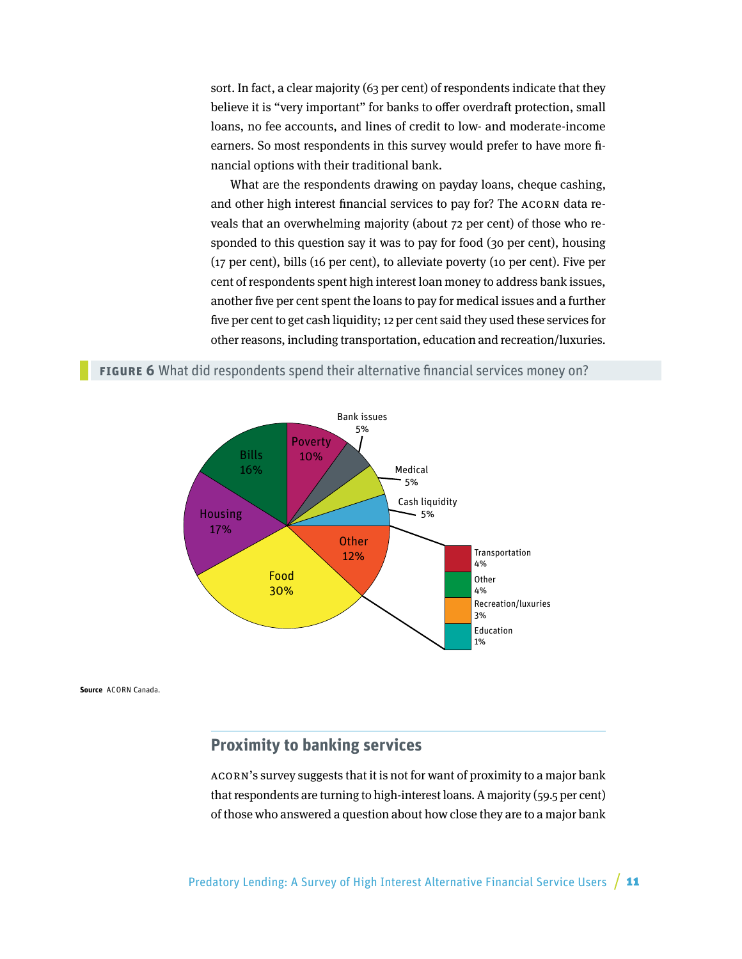sort. In fact, a clear majority (63 per cent) of respondents indicate that they believe it is "very important" for banks to offer overdraft protection, small loans, no fee accounts, and lines of credit to low- and moderate-income earners. So most respondents in this survey would prefer to have more financial options with their traditional bank.

What are the respondents drawing on payday loans, cheque cashing, and other high interest financial services to pay for? The ACORN data reveals that an overwhelming majority (about 72 per cent) of those who responded to this question say it was to pay for food (30 per cent), housing (17 per cent), bills (16 per cent), to alleviate poverty (10 per cent). Five per cent of respondents spent high interest loan money to address bank issues, another five per cent spent the loans to pay for medical issues and a further five per cent to get cash liquidity; 12 per cent said they used these services for other reasons, including transportation, education and recreation/luxuries.



#### **Figure 6** What did respondents spend their alternative financial services money on?

**Source** ACORN Canada.

### **Proximity to banking services**

ACORN's survey suggests that it is not for want of proximity to a major bank that respondents are turning to high-interest loans. A majority (59.5 per cent) of those who answered a question about how close they are to a major bank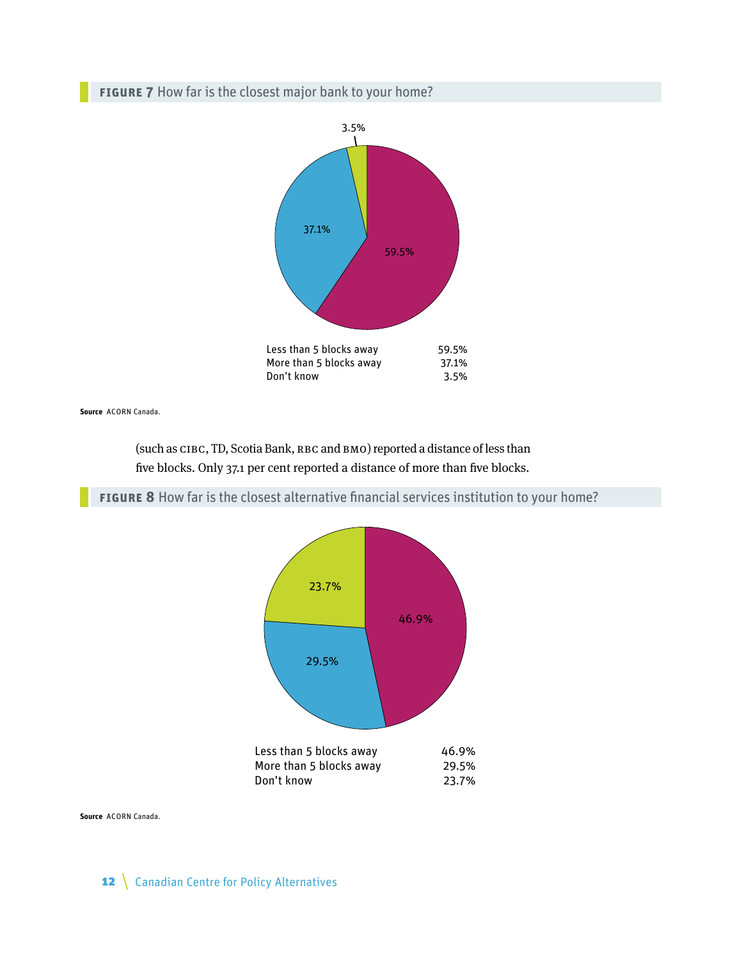#### **Figure 7** How far is the closest major bank to your home?



**Source** ACORN Canada.

(such as CIBC, TD, Scotia Bank, RBC and BMO) reported a distance of less than five blocks. Only 37.1 per cent reported a distance of more than five blocks.

**Figure 8** How far is the closest alternative financial services institution to your home?



**Source** ACORN Canada.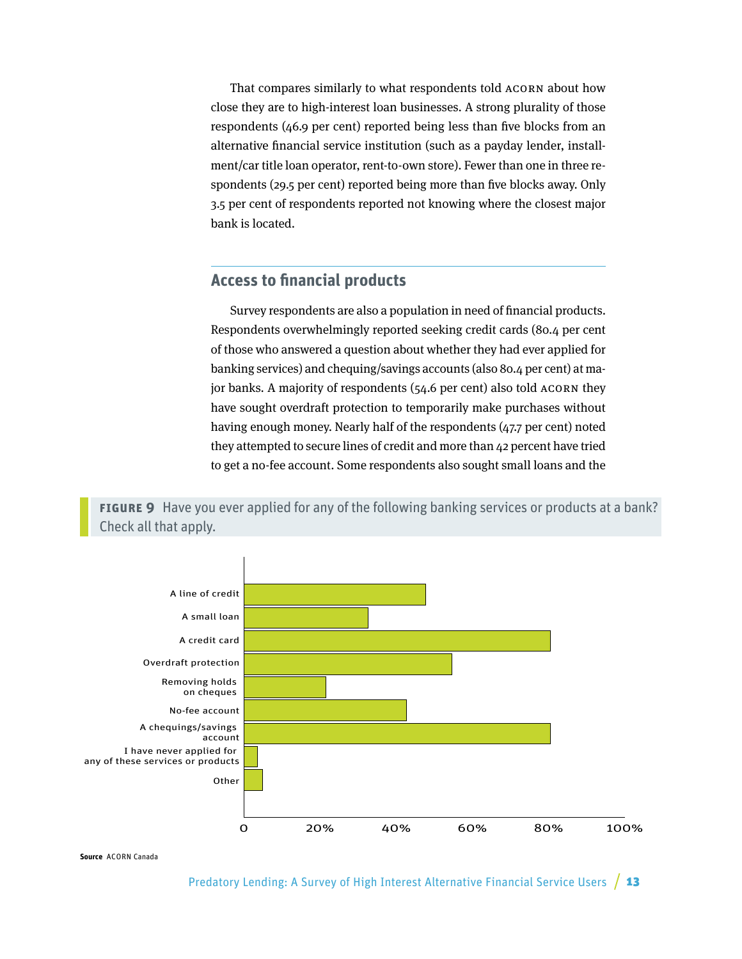That compares similarly to what respondents told ACORN about how close they are to high-interest loan businesses. A strong plurality of those respondents (46.9 per cent) reported being less than five blocks from an alternative financial service institution (such as a payday lender, installment/car title loan operator, rent-to-own store). Fewer than one in three respondents (29.5 per cent) reported being more than five blocks away. Only 3.5 per cent of respondents reported not knowing where the closest major bank is located.

## **Access to financial products**

Survey respondents are also a population in need of financial products. Respondents overwhelmingly reported seeking credit cards (80.4 per cent of those who answered a question about whether they had ever applied for banking services) and chequing/savings accounts (also 80.4 per cent) at major banks. A majority of respondents (54.6 per cent) also told ACORN they have sought overdraft protection to temporarily make purchases without having enough money. Nearly half of the respondents (47.7 per cent) noted they attempted to secure lines of credit and more than 42 percent have tried to get a no-fee account. Some respondents also sought small loans and the

**Figure 9** Have you ever applied for any of the following banking services or products at a bank? Check all that apply.



**Source** ACORN Canada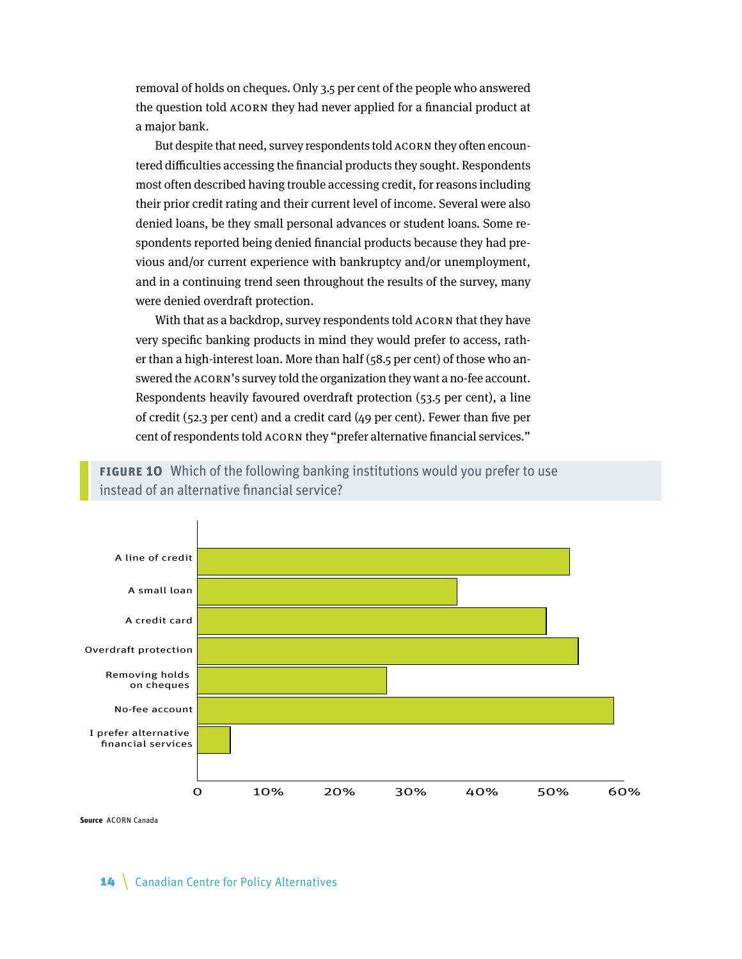removal of holds on cheques. Only 3.5 per cent of the people who answered the question told ACORN they had never applied for a financial product at a major bank.

But despite that need, survey respondents told ACORN they often encountered difficulties accessing the financial products they sought. Respondents most often described having trouble accessing credit, for reasons including their prior credit rating and their current level of income. Several were also denied loans, be they small personal advances or student loans. Some respondents reported being denied financial products because they had previous and/or current experience with bankruptcy and/or unemployment, and in a continuing trend seen throughout the results of the survey, many were denied overdraft protection.

With that as a backdrop, survey respondents told ACORN that they have very specific banking products in mind they would prefer to access, rather than a high-interest loan. More than half (58.5 per cent) of those who answered the ACORN's survey told the organization they want a no-fee account. Respondents heavily favoured overdraft protection (53.5 per cent), a line of credit (52.3 per cent) and a credit card (49 per cent). Fewer than five per cent of respondents told ACORN they "prefer alternative financial services."

**FIGURE 10** Which of the following banking institutions would you prefer to use instead of an alternative financial service?



**Source** ACORN Canada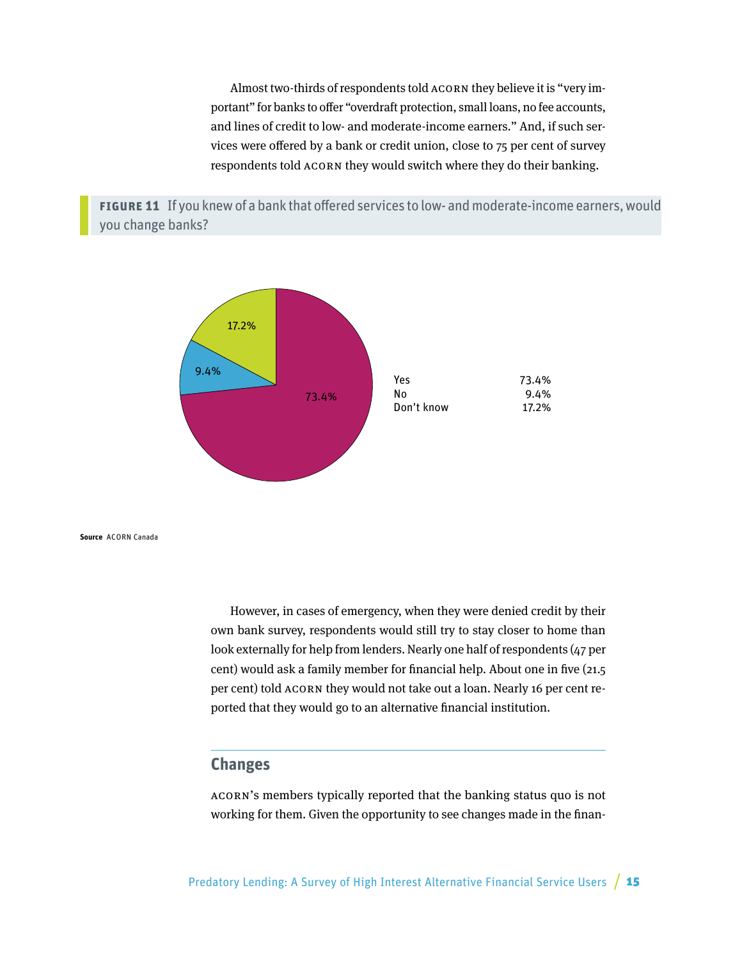Almost two-thirds of respondents told ACORN they believe it is "very important" for banks to offer "overdraft protection, small loans, no fee accounts, and lines of credit to low- and moderate-income earners." And, if such services were offered by a bank or credit union, close to 75 per cent of survey respondents told ACORN they would switch where they do their banking.





**Source** ACORN Canada

However, in cases of emergency, when they were denied credit by their own bank survey, respondents would still try to stay closer to home than look externally for help from lenders. Nearly one half of respondents (47 per cent) would ask a family member for financial help. About one in five (21.5 per cent) told ACORN they would not take out a loan. Nearly 16 per cent reported that they would go to an alternative financial institution.

#### **Changes**

ACORN's members typically reported that the banking status quo is not working for them. Given the opportunity to see changes made in the finan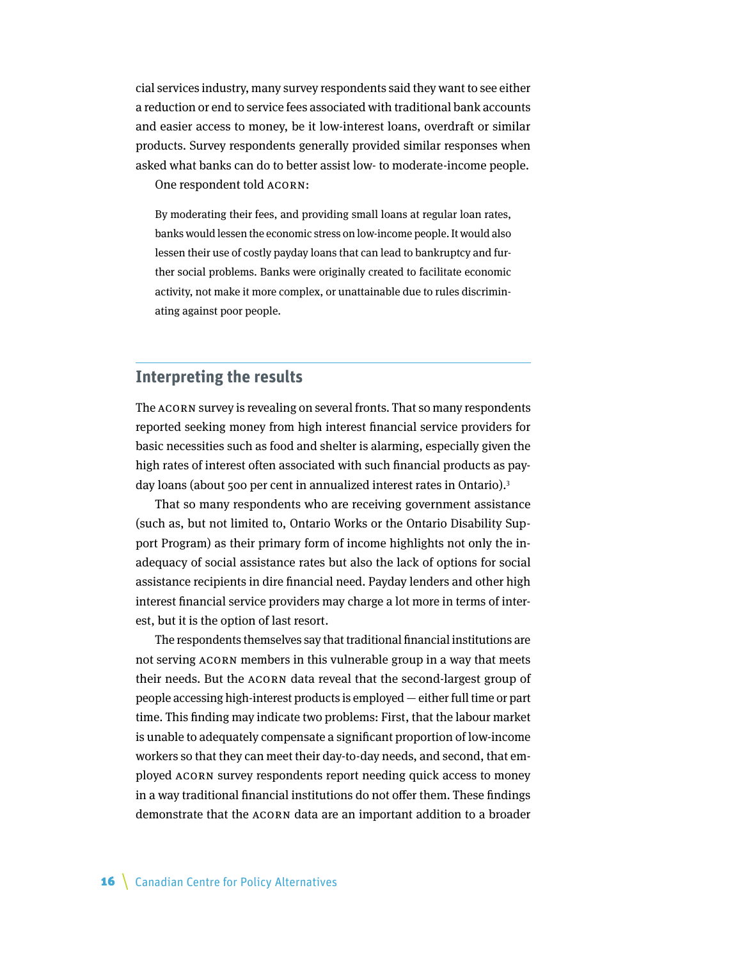cial services industry, many survey respondents said they want to see either a reduction or end to service fees associated with traditional bank accounts and easier access to money, be it low-interest loans, overdraft or similar products. Survey respondents generally provided similar responses when asked what banks can do to better assist low- to moderate-income people.

One respondent told ACORN:

By moderating their fees, and providing small loans at regular loan rates, banks would lessen the economic stress on low-income people. It would also lessen their use of costly payday loans that can lead to bankruptcy and further social problems. Banks were originally created to facilitate economic activity, not make it more complex, or unattainable due to rules discriminating against poor people.

#### **Interpreting the results**

The ACORN survey is revealing on several fronts. That so many respondents reported seeking money from high interest financial service providers for basic necessities such as food and shelter is alarming, especially given the high rates of interest often associated with such financial products as payday loans (about 500 per cent in annualized interest rates in Ontario).3

That so many respondents who are receiving government assistance (such as, but not limited to, Ontario Works or the Ontario Disability Support Program) as their primary form of income highlights not only the inadequacy of social assistance rates but also the lack of options for social assistance recipients in dire financial need. Payday lenders and other high interest financial service providers may charge a lot more in terms of interest, but it is the option of last resort.

The respondents themselves say that traditional financial institutions are not serving ACORN members in this vulnerable group in a way that meets their needs. But the ACORN data reveal that the second-largest group of people accessing high-interest products is employed — either full time or part time. This finding may indicate two problems: First, that the labour market is unable to adequately compensate a significant proportion of low-income workers so that they can meet their day-to-day needs, and second, that employed ACORN survey respondents report needing quick access to money in a way traditional financial institutions do not offer them. These findings demonstrate that the ACORN data are an important addition to a broader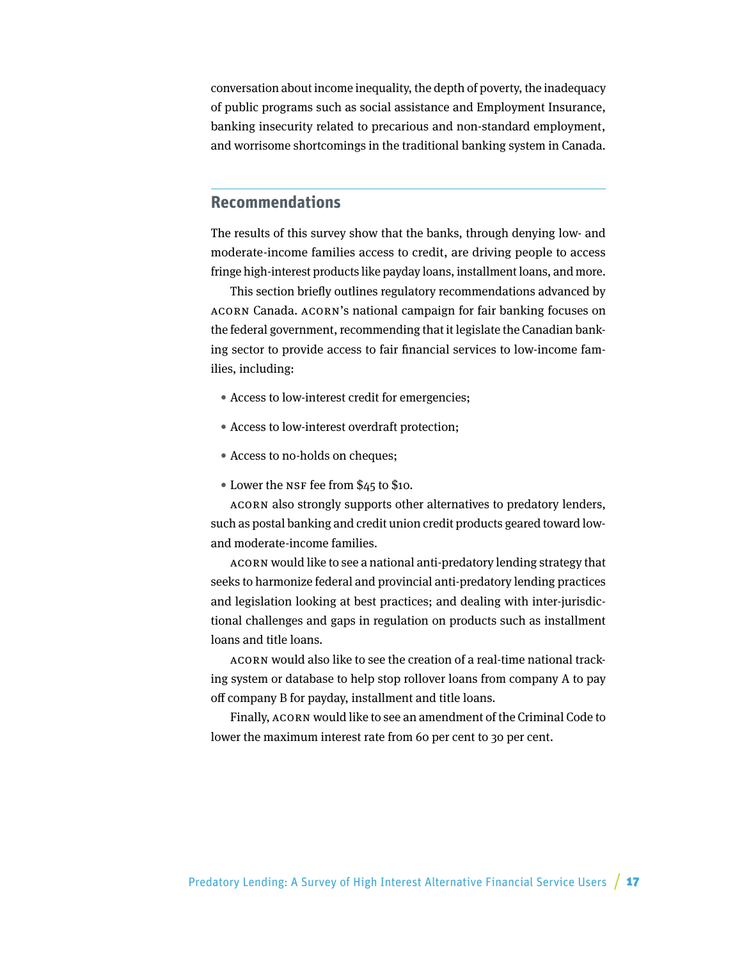conversation about income inequality, the depth of poverty, the inadequacy of public programs such as social assistance and Employment Insurance, banking insecurity related to precarious and non-standard employment, and worrisome shortcomings in the traditional banking system in Canada.

#### **Recommendations**

The results of this survey show that the banks, through denying low- and moderate-income families access to credit, are driving people to access fringe high-interest products like payday loans, installment loans, and more.

This section briefly outlines regulatory recommendations advanced by ACORN Canada. ACORN's national campaign for fair banking focuses on the federal government, recommending that it legislate the Canadian banking sector to provide access to fair financial services to low-income families, including:

- Access to low-interest credit for emergencies;
- Access to low-interest overdraft protection;
- Access to no-holds on cheques;
- Lower the NSF fee from \$45 to \$10.

ACORN also strongly supports other alternatives to predatory lenders, such as postal banking and credit union credit products geared toward lowand moderate-income families.

ACORN would like to see a national anti-predatory lending strategy that seeks to harmonize federal and provincial anti-predatory lending practices and legislation looking at best practices; and dealing with inter-jurisdictional challenges and gaps in regulation on products such as installment loans and title loans.

ACORN would also like to see the creation of a real-time national tracking system or database to help stop rollover loans from company A to pay off company B for payday, installment and title loans.

Finally, ACORN would like to see an amendment of the Criminal Code to lower the maximum interest rate from 60 per cent to 30 per cent.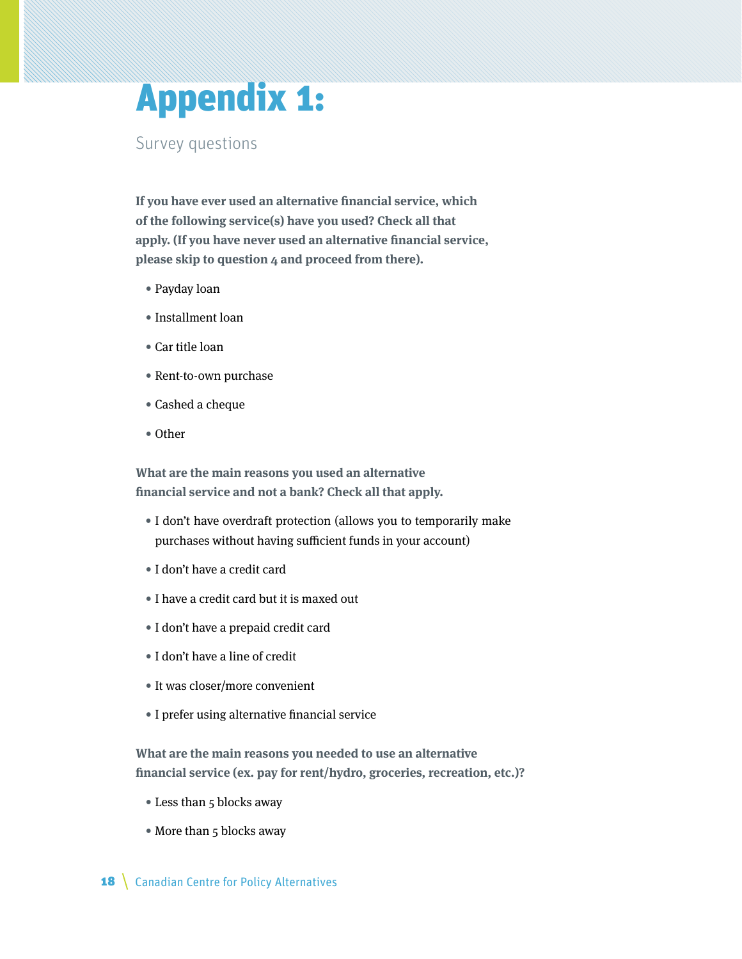# Appendix 1:

Survey questions

**If you have ever used an alternative financial service, which of the following service(s) have you used? Check all that apply. (If you have never used an alternative financial service, please skip to question 4 and proceed from there).**

- Payday loan
- Installment loan
- Car title loan
- Rent-to-own purchase
- Cashed a cheque
- Other

**What are the main reasons you used an alternative financial service and not a bank? Check all that apply.**

- I don't have overdraft protection (allows you to temporarily make purchases without having sufficient funds in your account)
- I don't have a credit card
- I have a credit card but it is maxed out
- I don't have a prepaid credit card
- I don't have a line of credit
- It was closer/more convenient
- I prefer using alternative financial service

**What are the main reasons you needed to use an alternative financial service (ex. pay for rent/hydro, groceries, recreation, etc.)?**

- Less than 5 blocks away
- More than 5 blocks away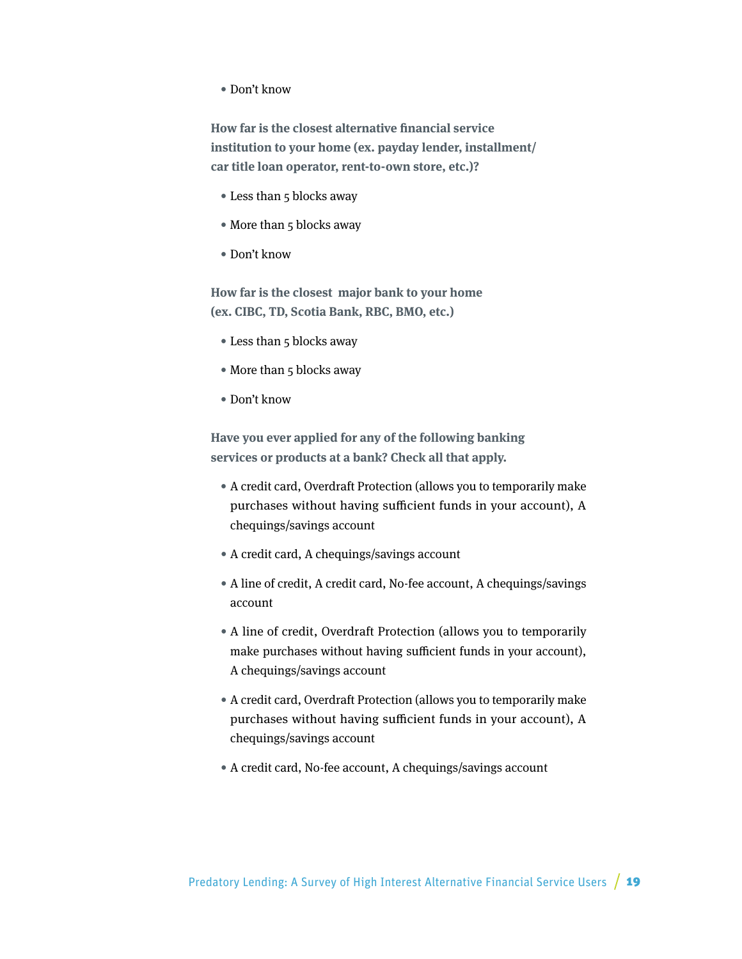• Don't know

**How far is the closest alternative financial service institution to your home (ex. payday lender, installment/ car title loan operator, rent-to-own store, etc.)?**

- Less than 5 blocks away
- More than 5 blocks away
- Don't know

**How far is the closest major bank to your home (ex. CIBC, TD, Scotia Bank, RBC, BMO, etc.)**

- Less than 5 blocks away
- More than 5 blocks away
- Don't know

**Have you ever applied for any of the following banking services or products at a bank? Check all that apply.**

- A credit card, Overdraft Protection (allows you to temporarily make purchases without having sufficient funds in your account), A chequings/savings account
- A credit card, A chequings/savings account
- A line of credit, A credit card, No-fee account, A chequings/savings account
- A line of credit, Overdraft Protection (allows you to temporarily make purchases without having sufficient funds in your account), A chequings/savings account
- A credit card, Overdraft Protection (allows you to temporarily make purchases without having sufficient funds in your account), A chequings/savings account
- A credit card, No-fee account, A chequings/savings account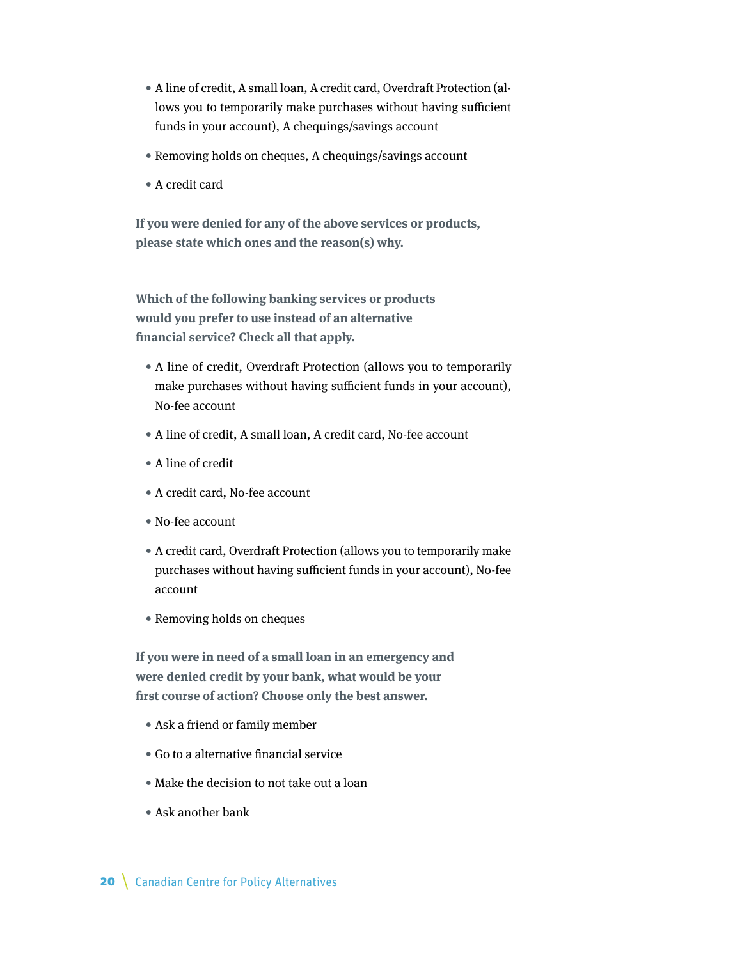- A line of credit, A small loan, A credit card, Overdraft Protection (allows you to temporarily make purchases without having sufficient funds in your account), A chequings/savings account
- Removing holds on cheques, A chequings/savings account
- A credit card

**If you were denied for any of the above services or products, please state which ones and the reason(s) why.**

**Which of the following banking services or products would you prefer to use instead of an alternative financial service? Check all that apply.**

- A line of credit, Overdraft Protection (allows you to temporarily make purchases without having sufficient funds in your account), No-fee account
- A line of credit, A small loan, A credit card, No-fee account
- A line of credit
- A credit card, No-fee account
- No-fee account
- A credit card, Overdraft Protection (allows you to temporarily make purchases without having sufficient funds in your account), No-fee account
- Removing holds on cheques

**If you were in need of a small loan in an emergency and were denied credit by your bank, what would be your first course of action? Choose only the best answer.**

- Ask a friend or family member
- Go to a alternative financial service
- Make the decision to not take out a loan
- Ask another bank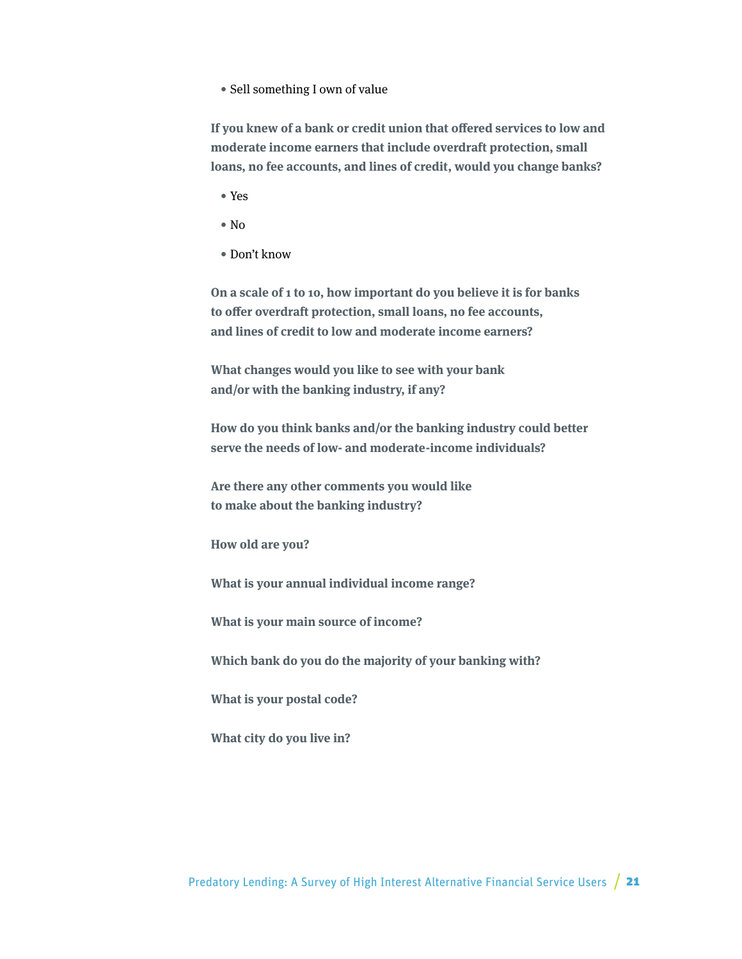• Sell something I own of value

**If you knew of a bank or credit union that offered services to low and moderate income earners that include overdraft protection, small loans, no fee accounts, and lines of credit, would you change banks?**

- Yes
- No
- Don't know

**On a scale of 1 to 10, how important do you believe it is for banks to offer overdraft protection, small loans, no fee accounts, and lines of credit to low and moderate income earners?**

**What changes would you like to see with your bank and/or with the banking industry, if any?**

**How do you think banks and/or the banking industry could better serve the needs of low- and moderate-income individuals?**

**Are there any other comments you would like to make about the banking industry?**

**How old are you?**

**What is your annual individual income range?**

**What is your main source of income?**

**Which bank do you do the majority of your banking with?**

**What is your postal code?**

**What city do you live in?**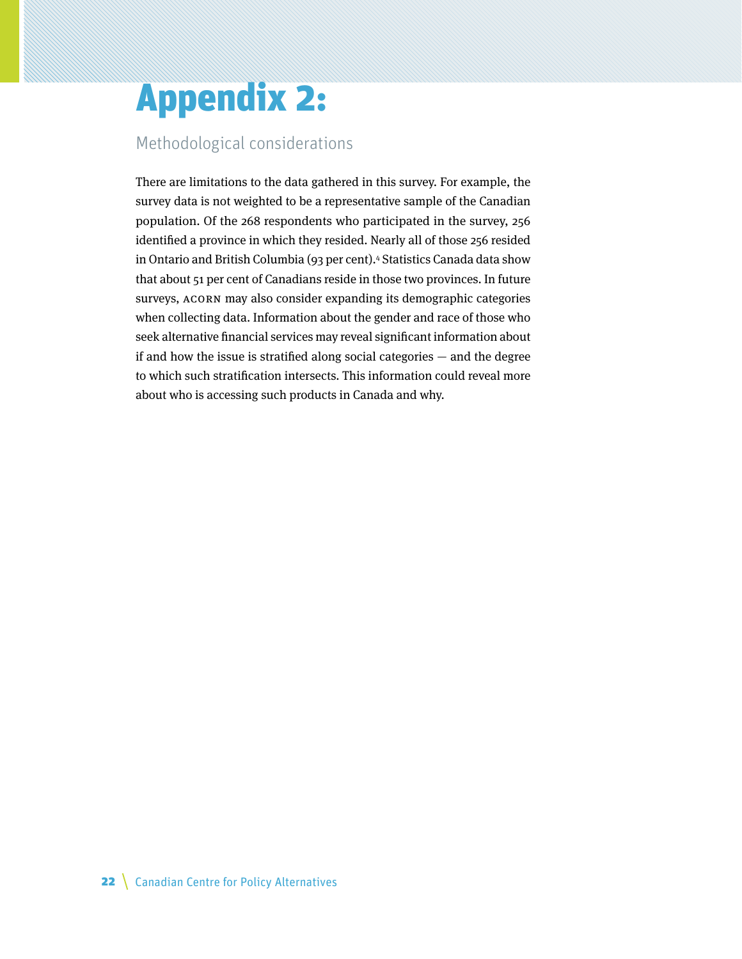# Appendix 2:

## Methodological considerations

There are limitations to the data gathered in this survey. For example, the survey data is not weighted to be a representative sample of the Canadian population. Of the 268 respondents who participated in the survey, 256 identified a province in which they resided. Nearly all of those 256 resided in Ontario and British Columbia (93 per cent).4 Statistics Canada data show that about 51 per cent of Canadians reside in those two provinces. In future surveys, ACORN may also consider expanding its demographic categories when collecting data. Information about the gender and race of those who seek alternative financial services may reveal significant information about if and how the issue is stratified along social categories — and the degree to which such stratification intersects. This information could reveal more about who is accessing such products in Canada and why.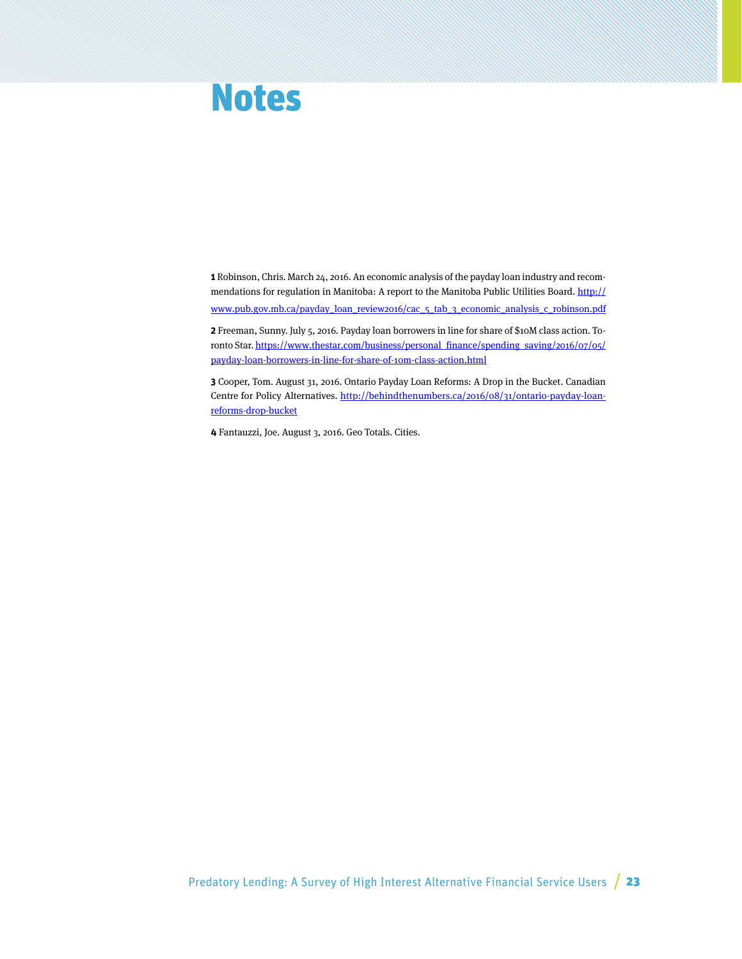

**1** Robinson, Chris. March 24, 2016. An economic analysis of the payday loan industry and recommendations for regulation in Manitoba: A report to the Manitoba Public Utilities Board. [http://](http://www.pub.gov.mb.ca/payday_loan_review2016/cac_5_tab_3_economic_analysis_c_robinson.pdf) [www.pub.gov.mb.ca/payday\\_loan\\_review2016/cac\\_5\\_tab\\_3\\_economic\\_analysis\\_c\\_robinson.pdf](http://www.pub.gov.mb.ca/payday_loan_review2016/cac_5_tab_3_economic_analysis_c_robinson.pdf)

**2** Freeman, Sunny. July 5, 2016. Payday loan borrowers in line for share of \$10M class action. Toronto Star. [https://www.thestar.com/business/personal\\_finance/spending\\_saving/2016/07/05/](https://www.thestar.com/business/personal_finance/spending_saving/2016/07/05/payday-loan-borrowers-in-line-for-share-of-10m-class-action.html) [payday-loan-borrowers-in-line-for-share-of-10m-class-action.html](https://www.thestar.com/business/personal_finance/spending_saving/2016/07/05/payday-loan-borrowers-in-line-for-share-of-10m-class-action.html)

**3** Cooper, Tom. August 31, 2016. Ontario Payday Loan Reforms: A Drop in the Bucket. Canadian Centre for Policy Alternatives. [http://behindthenumbers.ca/2016/08/31/ontario-payday-loan](http://behindthenumbers.ca/2016/08/31/ontario-payday-loan-reforms-drop-bucket/?utm_source=feedburner&utm_medium=feed&utm_campaign=Feed%3A+BehindTheNumbersOntario+%28Behind+the+Numbers+%C2%BB+Ontario%29)[reforms-drop-bucket](http://behindthenumbers.ca/2016/08/31/ontario-payday-loan-reforms-drop-bucket/?utm_source=feedburner&utm_medium=feed&utm_campaign=Feed%3A+BehindTheNumbersOntario+%28Behind+the+Numbers+%C2%BB+Ontario%29)

**4** Fantauzzi, Joe. August 3, 2016. Geo Totals. Cities.